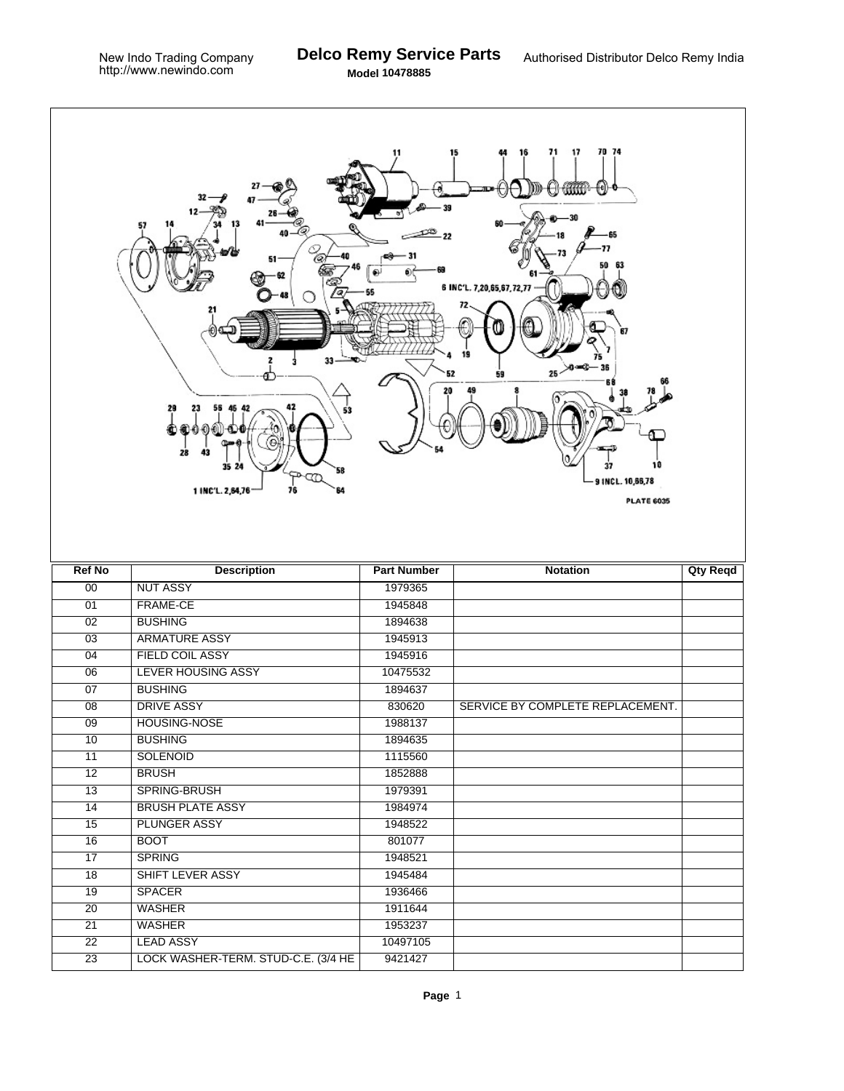|                 | 13<br>O,<br>33.<br>29<br>53<br>28<br>43<br>35<br>58<br>≁⊄Ω<br>1 INC'L. 2,84,76<br>76<br>64 | 11                 | 70 74<br>16<br>71<br>17<br>15<br>mm<br>([e])<br>0000000000<br>65<br>77<br>6 INC'L. 7,20,65,67,72,77<br>67<br>жно (<br>25<<br>59<br>10<br>37<br>9 INCL. 10,66,78<br><b>PLATE 6035</b> |                 |
|-----------------|--------------------------------------------------------------------------------------------|--------------------|--------------------------------------------------------------------------------------------------------------------------------------------------------------------------------------|-----------------|
| <b>Ref No</b>   | <b>Description</b>                                                                         | <b>Part Number</b> | <b>Notation</b>                                                                                                                                                                      | <b>Qty Reqd</b> |
| $\overline{00}$ | <b>NUT ASSY</b>                                                                            | 1979365            |                                                                                                                                                                                      |                 |
| 01              | <b>FRAME-CE</b>                                                                            | 1945848            |                                                                                                                                                                                      |                 |
| $\overline{02}$ | <b>BUSHING</b>                                                                             | 1894638            |                                                                                                                                                                                      |                 |
| $\overline{03}$ | <b>ARMATURE ASSY</b>                                                                       | 1945913            |                                                                                                                                                                                      |                 |
| 04              | <b>FIELD COIL ASSY</b>                                                                     | 1945916            |                                                                                                                                                                                      |                 |
| $\overline{06}$ | <b>LEVER HOUSING ASSY</b>                                                                  | 10475532           |                                                                                                                                                                                      |                 |
| $\overline{07}$ | <b>BUSHING</b>                                                                             | 1894637            |                                                                                                                                                                                      |                 |
| 08              | <b>DRIVE ASSY</b>                                                                          | 830620             | SERVICE BY COMPLETE REPLACEMENT.                                                                                                                                                     |                 |
| $\overline{09}$ | <b>HOUSING-NOSE</b>                                                                        | 1988137            |                                                                                                                                                                                      |                 |
| 10              | <b>BUSHING</b>                                                                             | 1894635            |                                                                                                                                                                                      |                 |
| 11              | <b>SOLENOID</b>                                                                            | 1115560            |                                                                                                                                                                                      |                 |
| $\overline{12}$ | <b>BRUSH</b>                                                                               | 1852888            |                                                                                                                                                                                      |                 |
| $\overline{13}$ | SPRING-BRUSH                                                                               | 1979391            |                                                                                                                                                                                      |                 |
| $\overline{14}$ | <b>BRUSH PLATE ASSY</b>                                                                    | 1984974            |                                                                                                                                                                                      |                 |
| $\overline{15}$ | <b>PLUNGER ASSY</b>                                                                        | 1948522            |                                                                                                                                                                                      |                 |
| 16              | <b>BOOT</b>                                                                                | 801077             |                                                                                                                                                                                      |                 |
| $\overline{17}$ | <b>SPRING</b>                                                                              | 1948521            |                                                                                                                                                                                      |                 |
| $\overline{18}$ | SHIFT LEVER ASSY                                                                           | 1945484            |                                                                                                                                                                                      |                 |
| 19              | <b>SPACER</b>                                                                              | 1936466            |                                                                                                                                                                                      |                 |
| $\overline{20}$ | <b>WASHER</b>                                                                              | 1911644            |                                                                                                                                                                                      |                 |
| $\overline{21}$ | <b>WASHER</b>                                                                              | 1953237            |                                                                                                                                                                                      |                 |
| $\overline{22}$ | <b>LEAD ASSY</b>                                                                           | 10497105           |                                                                                                                                                                                      |                 |
| $\overline{23}$ | LOCK WASHER-TERM. STUD-C.E. (3/4 HE                                                        | 9421427            |                                                                                                                                                                                      |                 |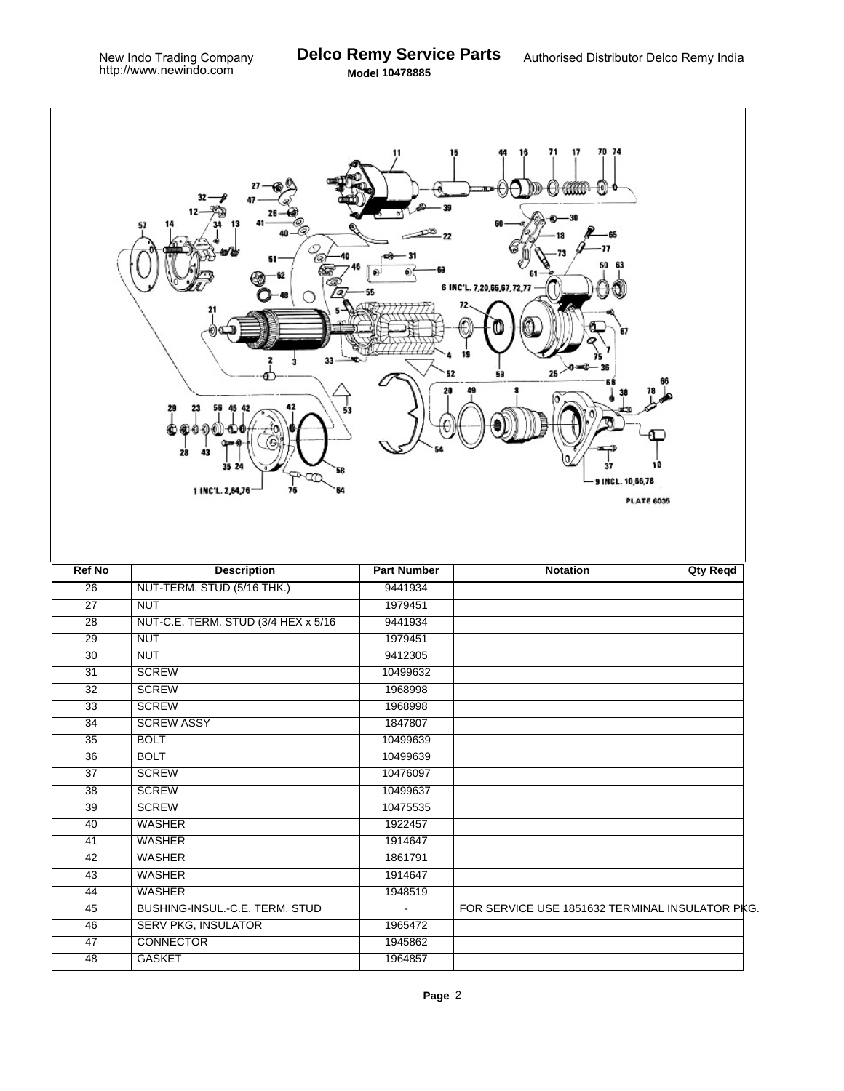|                 | 13<br>ν<br>51<br>33<br>29<br>53<br>28<br>43<br>35 24<br>58<br>Ŕ<br>76<br>1 INC'L. 2,64,76<br>64 | 11<br>O.           | 70 74<br>71<br>17<br>16<br>A GRO<br>∯€])<br>77<br>50<br>63<br>6 INC'L. 7,20,65,67,72,77<br>67<br>تەمەر<br>$25 -$<br>52<br>59<br>37<br>9 INCL. 10,66,78<br><b>PLATE 6035</b> |                 |
|-----------------|-------------------------------------------------------------------------------------------------|--------------------|-----------------------------------------------------------------------------------------------------------------------------------------------------------------------------|-----------------|
| <b>Ref No</b>   | <b>Description</b>                                                                              | <b>Part Number</b> | <b>Notation</b>                                                                                                                                                             | <b>Qty Reqd</b> |
| $\overline{26}$ | NUT-TERM. STUD (5/16 THK.)                                                                      | 9441934            |                                                                                                                                                                             |                 |
| $\overline{27}$ | <b>NUT</b>                                                                                      | 1979451            |                                                                                                                                                                             |                 |
| $\overline{28}$ | NUT-C.E. TERM. STUD (3/4 HEX x 5/16)                                                            | 9441934            |                                                                                                                                                                             |                 |
| $\overline{29}$ | <b>NUT</b>                                                                                      | 1979451            |                                                                                                                                                                             |                 |
| $\overline{30}$ | <b>NUT</b>                                                                                      | 9412305            |                                                                                                                                                                             |                 |
| 31              | <b>SCREW</b>                                                                                    | 10499632           |                                                                                                                                                                             |                 |
| $\overline{32}$ | <b>SCREW</b>                                                                                    | 1968998            |                                                                                                                                                                             |                 |
| 33              | <b>SCREW</b>                                                                                    | 1968998            |                                                                                                                                                                             |                 |
| $\overline{34}$ | <b>SCREW ASSY</b>                                                                               | 1847807            |                                                                                                                                                                             |                 |
| $\overline{35}$ | <b>BOLT</b>                                                                                     | 10499639           |                                                                                                                                                                             |                 |
| $\overline{36}$ | <b>BOLT</b>                                                                                     | 10499639           |                                                                                                                                                                             |                 |
| $\overline{37}$ | <b>SCREW</b>                                                                                    | 10476097           |                                                                                                                                                                             |                 |
| $\overline{38}$ | <b>SCREW</b>                                                                                    | 10499637           |                                                                                                                                                                             |                 |
| $\overline{39}$ | <b>SCREW</b>                                                                                    | 10475535           |                                                                                                                                                                             |                 |
| 40              | <b>WASHER</b>                                                                                   | 1922457            |                                                                                                                                                                             |                 |
| 41              | <b>WASHER</b>                                                                                   | 1914647            |                                                                                                                                                                             |                 |
| $\overline{42}$ | <b>WASHER</b>                                                                                   | 1861791            |                                                                                                                                                                             |                 |
| $\overline{43}$ | <b>WASHER</b>                                                                                   | 1914647            |                                                                                                                                                                             |                 |
| 44              | <b>WASHER</b>                                                                                   | 1948519            |                                                                                                                                                                             |                 |
| $\overline{45}$ | BUSHING-INSUL.-C.E. TERM. STUD                                                                  | $\blacksquare$     | FOR SERVICE USE 1851632 TERMINAL INSULATOR PKG.                                                                                                                             |                 |
| 46              | <b>SERV PKG, INSULATOR</b>                                                                      | 1965472            |                                                                                                                                                                             |                 |
| 47              | <b>CONNECTOR</b>                                                                                | 1945862            |                                                                                                                                                                             |                 |
| $\overline{48}$ | <b>GASKET</b>                                                                                   | 1964857            |                                                                                                                                                                             |                 |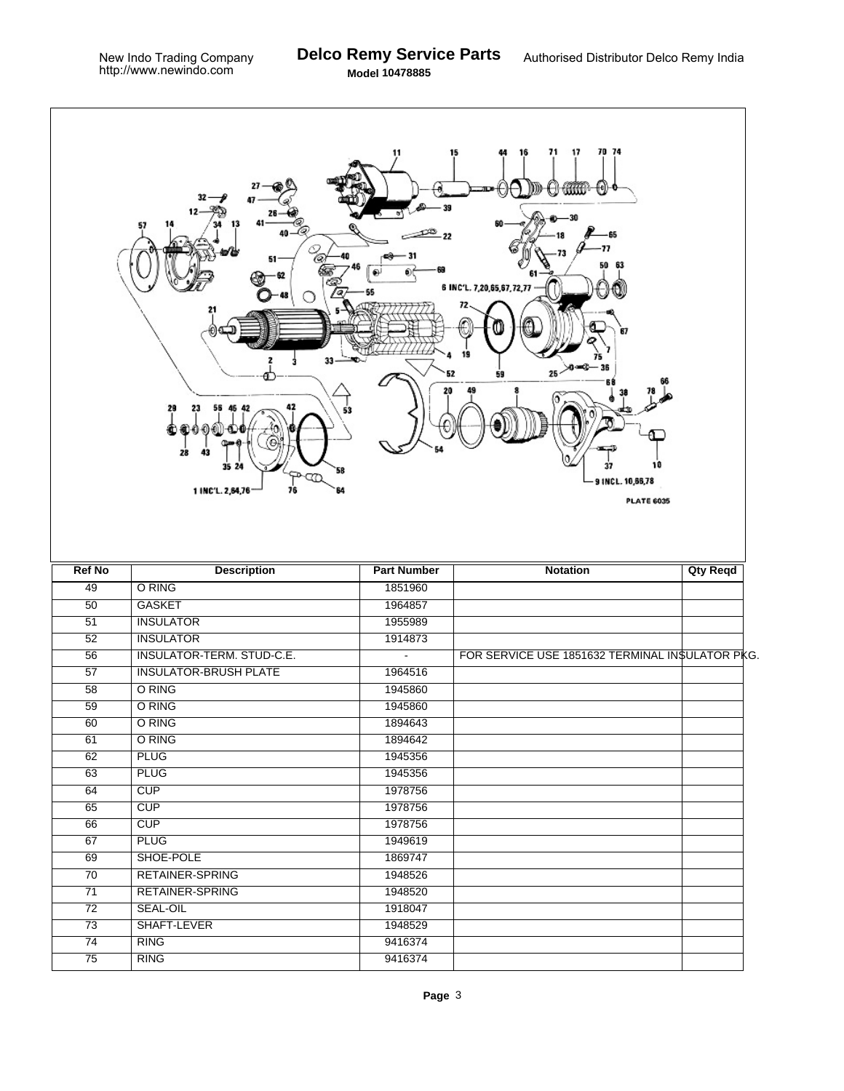$\Gamma$ 

|                 | Ter<br>$51 -$<br>33<br>29<br>28<br>43<br>35 24<br>58<br>عصوص<br>76<br>1 INC'L. 2,64,76 | 11<br>⋒<br>53      | 70 74<br>15<br>71<br>17<br>ť₫<br>O GAD<br>50<br>63<br>6 INC'L. 7,20,65,67,72,77<br>20 and<br>$25 -$<br>59<br>10<br>37<br>9 INCL. 10,66,78<br><b>PLATE 6035</b> |                 |
|-----------------|----------------------------------------------------------------------------------------|--------------------|----------------------------------------------------------------------------------------------------------------------------------------------------------------|-----------------|
| <b>Ref No</b>   | <b>Description</b>                                                                     | <b>Part Number</b> | <b>Notation</b>                                                                                                                                                | <b>Qty Reqd</b> |
| $\overline{49}$ | O RING                                                                                 | 1851960            |                                                                                                                                                                |                 |
| $\overline{50}$ | <b>GASKET</b>                                                                          | 1964857            |                                                                                                                                                                |                 |
| $\overline{51}$ | <b>INSULATOR</b>                                                                       | 1955989            |                                                                                                                                                                |                 |
| $\overline{52}$ | <b>INSULATOR</b>                                                                       | 1914873            |                                                                                                                                                                |                 |
| 56              | INSULATOR-TERM. STUD-C.E.                                                              | $\blacksquare$     | FOR SERVICE USE 1851632 TERMINAL INSULATOR PKG.                                                                                                                |                 |
| $\overline{57}$ | <b>INSULATOR-BRUSH PLATE</b>                                                           | 1964516            |                                                                                                                                                                |                 |
| 58              | O RING                                                                                 | 1945860            |                                                                                                                                                                |                 |
| 59              | O RING                                                                                 | 1945860            |                                                                                                                                                                |                 |
| 60              | O RING                                                                                 | 1894643            |                                                                                                                                                                |                 |
| 61              | O RING                                                                                 | 1894642            |                                                                                                                                                                |                 |
| 62              | <b>PLUG</b>                                                                            | 1945356            |                                                                                                                                                                |                 |
| 63              | <b>PLUG</b>                                                                            | 1945356            |                                                                                                                                                                |                 |
| 64              | CUP                                                                                    | 1978756            |                                                                                                                                                                |                 |
| 65              | CUP                                                                                    | 1978756            |                                                                                                                                                                |                 |
| 66              | CUP                                                                                    | 1978756            |                                                                                                                                                                |                 |
| 67              | <b>PLUG</b>                                                                            | 1949619            |                                                                                                                                                                |                 |
| 69              | SHOE-POLE                                                                              | 1869747            |                                                                                                                                                                |                 |
| $\overline{70}$ | <b>RETAINER-SPRING</b>                                                                 | 1948526            |                                                                                                                                                                |                 |
| $\overline{71}$ | <b>RETAINER-SPRING</b>                                                                 | 1948520            |                                                                                                                                                                |                 |
| $\overline{72}$ | SEAL-OIL                                                                               | 1918047            |                                                                                                                                                                |                 |
| $\overline{73}$ | SHAFT-LEVER                                                                            | 1948529            |                                                                                                                                                                |                 |
| 74              | <b>RING</b>                                                                            | 9416374            |                                                                                                                                                                |                 |
| $\overline{75}$ | <b>RING</b>                                                                            | 9416374            |                                                                                                                                                                |                 |